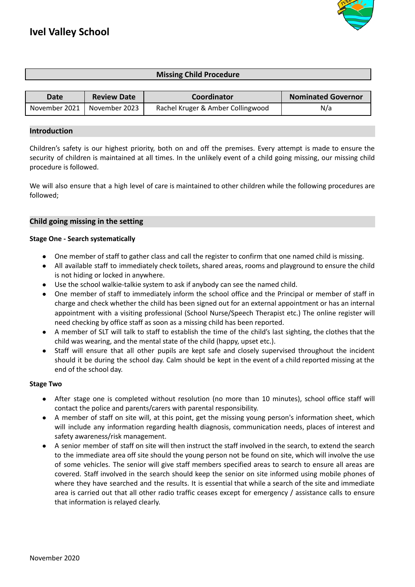

# **Missing Child Procedure**

| Date            | <b>Review Date</b> | Coordinator                       | <b>Nominated Governor</b> |
|-----------------|--------------------|-----------------------------------|---------------------------|
| November 2021 1 | November 2023      | Rachel Kruger & Amber Collingwood | N/a                       |

#### **Introduction**

Children's safety is our highest priority, both on and off the premises. Every attempt is made to ensure the security of children is maintained at all times. In the unlikely event of a child going missing, our missing child procedure is followed.

We will also ensure that a high level of care is maintained to other children while the following procedures are followed;

# **Child going missing in the setting**

#### **Stage One - Search systematically**

- One member of staff to gather class and call the register to confirm that one named child is missing.
- All available staff to immediately check toilets, shared areas, rooms and playground to ensure the child is not hiding or locked in anywhere.
- Use the school walkie-talkie system to ask if anybody can see the named child.
- One member of staff to immediately inform the school office and the Principal or member of staff in charge and check whether the child has been signed out for an external appointment or has an internal appointment with a visiting professional (School Nurse/Speech Therapist etc.) The online register will need checking by office staff as soon as a missing child has been reported.
- A member of SLT will talk to staff to establish the time of the child's last sighting, the clothes that the child was wearing, and the mental state of the child (happy, upset etc.).
- Staff will ensure that all other pupils are kept safe and closely supervised throughout the incident should it be during the school day. Calm should be kept in the event of a child reported missing at the end of the school day.

#### **Stage Two**

- After stage one is completed without resolution (no more than 10 minutes), school office staff will contact the police and parents/carers with parental responsibility.
- A member of staff on site will, at this point, get the missing young person's information sheet, which will include any information regarding health diagnosis, communication needs, places of interest and safety awareness/risk management.
- A senior member of staff on site will then instruct the staff involved in the search, to extend the search to the immediate area off site should the young person not be found on site, which will involve the use of some vehicles. The senior will give staff members specified areas to search to ensure all areas are covered. Staff involved in the search should keep the senior on site informed using mobile phones of where they have searched and the results. It is essential that while a search of the site and immediate area is carried out that all other radio traffic ceases except for emergency / assistance calls to ensure that information is relayed clearly.